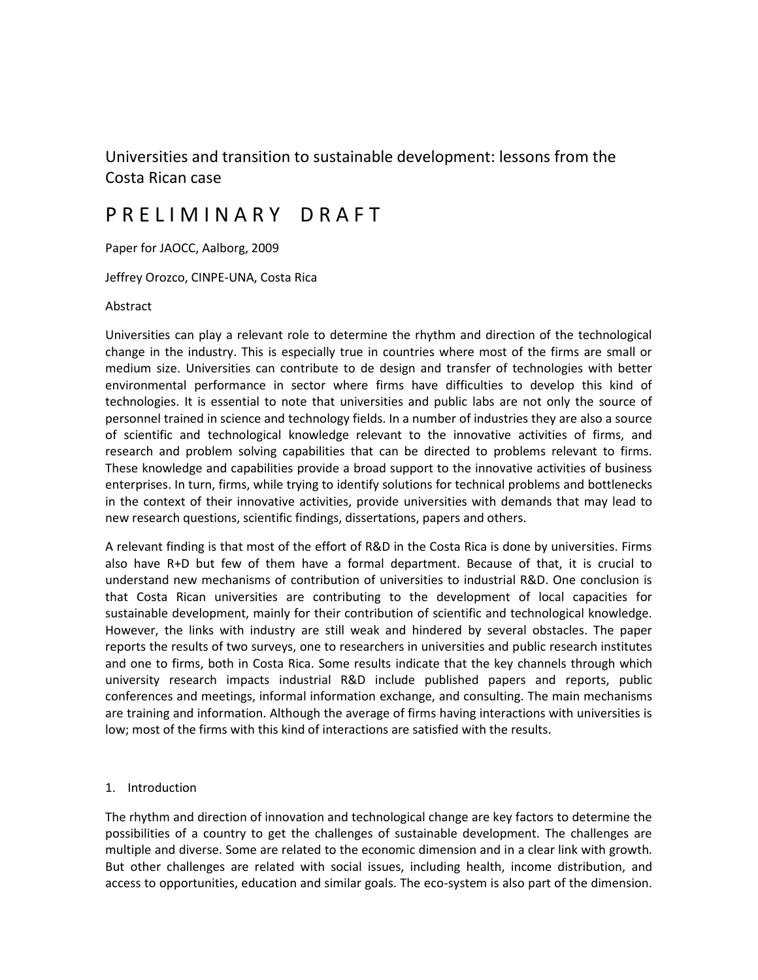# Universities and transition to sustainable development: lessons from the Costa Rican case

# P R E L I M I N A R Y D R A F T

Paper for JAOCC, Aalborg, 2009

Jeffrey Orozco, CINPE-UNA, Costa Rica

Abstract

Universities can play a relevant role to determine the rhythm and direction of the technological change in the industry. This is especially true in countries where most of the firms are small or medium size. Universities can contribute to de design and transfer of technologies with better environmental performance in sector where firms have difficulties to develop this kind of technologies. It is essential to note that universities and public labs are not only the source of personnel trained in science and technology fields. In a number of industries they are also a source of scientific and technological knowledge relevant to the innovative activities of firms, and research and problem solving capabilities that can be directed to problems relevant to firms. These knowledge and capabilities provide a broad support to the innovative activities of business enterprises. In turn, firms, while trying to identify solutions for technical problems and bottlenecks in the context of their innovative activities, provide universities with demands that may lead to new research questions, scientific findings, dissertations, papers and others.

A relevant finding is that most of the effort of R&D in the Costa Rica is done by universities. Firms also have R+D but few of them have a formal department. Because of that, it is crucial to understand new mechanisms of contribution of universities to industrial R&D. One conclusion is that Costa Rican universities are contributing to the development of local capacities for sustainable development, mainly for their contribution of scientific and technological knowledge. However, the links with industry are still weak and hindered by several obstacles. The paper reports the results of two surveys, one to researchers in universities and public research institutes and one to firms, both in Costa Rica. Some results indicate that the key channels through which university research impacts industrial R&D include published papers and reports, public conferences and meetings, informal information exchange, and consulting. The main mechanisms are training and information. Although the average of firms having interactions with universities is low; most of the firms with this kind of interactions are satisfied with the results.

#### 1. Introduction

The rhythm and direction of innovation and technological change are key factors to determine the possibilities of a country to get the challenges of sustainable development. The challenges are multiple and diverse. Some are related to the economic dimension and in a clear link with growth. But other challenges are related with social issues, including health, income distribution, and access to opportunities, education and similar goals. The eco-system is also part of the dimension.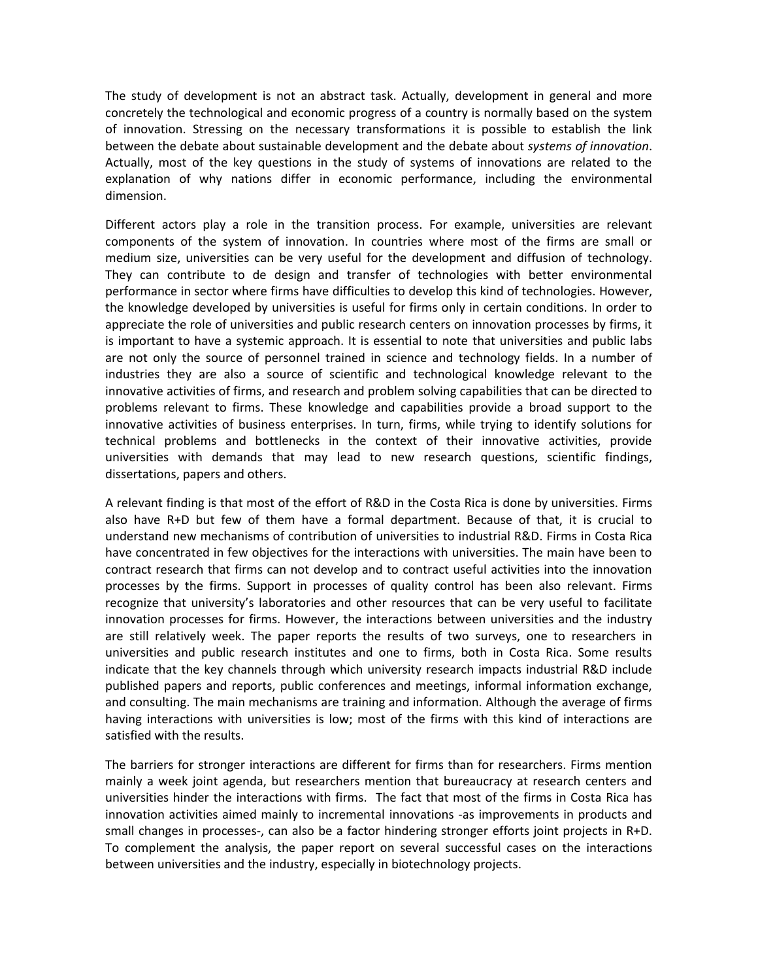The study of development is not an abstract task. Actually, development in general and more concretely the technological and economic progress of a country is normally based on the system of innovation. Stressing on the necessary transformations it is possible to establish the link between the debate about sustainable development and the debate about *systems of innovation*. Actually, most of the key questions in the study of systems of innovations are related to the explanation of why nations differ in economic performance, including the environmental dimension.

Different actors play a role in the transition process. For example, universities are relevant components of the system of innovation. In countries where most of the firms are small or medium size, universities can be very useful for the development and diffusion of technology. They can contribute to de design and transfer of technologies with better environmental performance in sector where firms have difficulties to develop this kind of technologies. However, the knowledge developed by universities is useful for firms only in certain conditions. In order to appreciate the role of universities and public research centers on innovation processes by firms, it is important to have a systemic approach. It is essential to note that universities and public labs are not only the source of personnel trained in science and technology fields. In a number of industries they are also a source of scientific and technological knowledge relevant to the innovative activities of firms, and research and problem solving capabilities that can be directed to problems relevant to firms. These knowledge and capabilities provide a broad support to the innovative activities of business enterprises. In turn, firms, while trying to identify solutions for technical problems and bottlenecks in the context of their innovative activities, provide universities with demands that may lead to new research questions, scientific findings, dissertations, papers and others.

A relevant finding is that most of the effort of R&D in the Costa Rica is done by universities. Firms also have R+D but few of them have a formal department. Because of that, it is crucial to understand new mechanisms of contribution of universities to industrial R&D. Firms in Costa Rica have concentrated in few objectives for the interactions with universities. The main have been to contract research that firms can not develop and to contract useful activities into the innovation processes by the firms. Support in processes of quality control has been also relevant. Firms recognize that university's laboratories and other resources that can be very useful to facilitate innovation processes for firms. However, the interactions between universities and the industry are still relatively week. The paper reports the results of two surveys, one to researchers in universities and public research institutes and one to firms, both in Costa Rica. Some results indicate that the key channels through which university research impacts industrial R&D include published papers and reports, public conferences and meetings, informal information exchange, and consulting. The main mechanisms are training and information. Although the average of firms having interactions with universities is low; most of the firms with this kind of interactions are satisfied with the results.

The barriers for stronger interactions are different for firms than for researchers. Firms mention mainly a week joint agenda, but researchers mention that bureaucracy at research centers and universities hinder the interactions with firms. The fact that most of the firms in Costa Rica has innovation activities aimed mainly to incremental innovations -as improvements in products and small changes in processes-, can also be a factor hindering stronger efforts joint projects in R+D. To complement the analysis, the paper report on several successful cases on the interactions between universities and the industry, especially in biotechnology projects.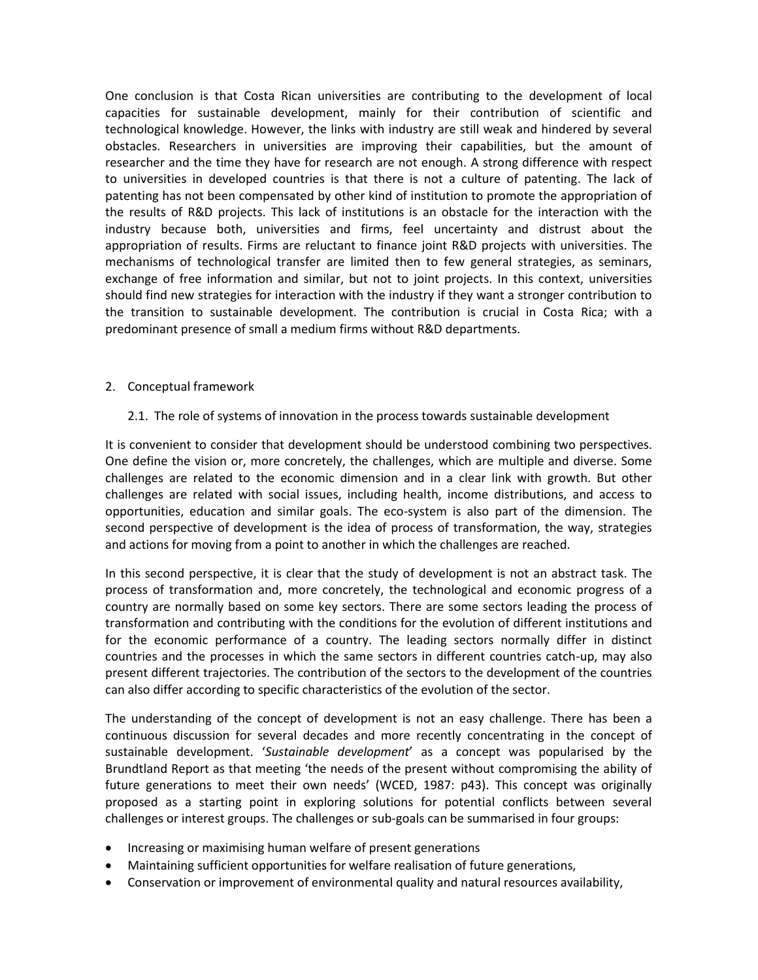One conclusion is that Costa Rican universities are contributing to the development of local capacities for sustainable development, mainly for their contribution of scientific and technological knowledge. However, the links with industry are still weak and hindered by several obstacles. Researchers in universities are improving their capabilities, but the amount of researcher and the time they have for research are not enough. A strong difference with respect to universities in developed countries is that there is not a culture of patenting. The lack of patenting has not been compensated by other kind of institution to promote the appropriation of the results of R&D projects. This lack of institutions is an obstacle for the interaction with the industry because both, universities and firms, feel uncertainty and distrust about the appropriation of results. Firms are reluctant to finance joint R&D projects with universities. The mechanisms of technological transfer are limited then to few general strategies, as seminars, exchange of free information and similar, but not to joint projects. In this context, universities should find new strategies for interaction with the industry if they want a stronger contribution to the transition to sustainable development. The contribution is crucial in Costa Rica; with a predominant presence of small a medium firms without R&D departments.

# 2. Conceptual framework

2.1. The role of systems of innovation in the process towards sustainable development

It is convenient to consider that development should be understood combining two perspectives. One define the vision or, more concretely, the challenges, which are multiple and diverse. Some challenges are related to the economic dimension and in a clear link with growth. But other challenges are related with social issues, including health, income distributions, and access to opportunities, education and similar goals. The eco-system is also part of the dimension. The second perspective of development is the idea of process of transformation, the way, strategies and actions for moving from a point to another in which the challenges are reached.

In this second perspective, it is clear that the study of development is not an abstract task. The process of transformation and, more concretely, the technological and economic progress of a country are normally based on some key sectors. There are some sectors leading the process of transformation and contributing with the conditions for the evolution of different institutions and for the economic performance of a country. The leading sectors normally differ in distinct countries and the processes in which the same sectors in different countries catch-up, may also present different trajectories. The contribution of the sectors to the development of the countries can also differ according to specific characteristics of the evolution of the sector.

The understanding of the concept of development is not an easy challenge. There has been a continuous discussion for several decades and more recently concentrating in the concept of sustainable development. '*Sustainable development*' as a concept was popularised by the Brundtland Report as that meeting 'the needs of the present without compromising the ability of future generations to meet their own needs' (WCED, 1987: p43). This concept was originally proposed as a starting point in exploring solutions for potential conflicts between several challenges or interest groups. The challenges or sub-goals can be summarised in four groups:

- Increasing or maximising human welfare of present generations
- Maintaining sufficient opportunities for welfare realisation of future generations,
- Conservation or improvement of environmental quality and natural resources availability,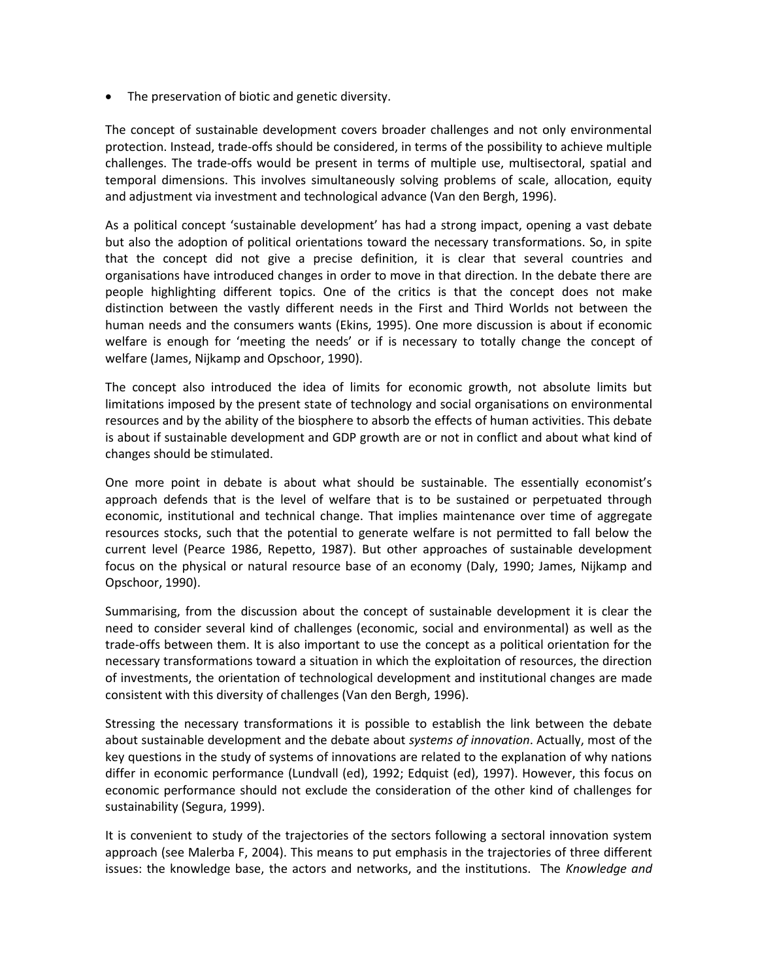• The preservation of biotic and genetic diversity.

The concept of sustainable development covers broader challenges and not only environmental protection. Instead, trade-offs should be considered, in terms of the possibility to achieve multiple challenges. The trade-offs would be present in terms of multiple use, multisectoral, spatial and temporal dimensions. This involves simultaneously solving problems of scale, allocation, equity and adjustment via investment and technological advance (Van den Bergh, 1996).

As a political concept 'sustainable development' has had a strong impact, opening a vast debate but also the adoption of political orientations toward the necessary transformations. So, in spite that the concept did not give a precise definition, it is clear that several countries and organisations have introduced changes in order to move in that direction. In the debate there are people highlighting different topics. One of the critics is that the concept does not make distinction between the vastly different needs in the First and Third Worlds not between the human needs and the consumers wants (Ekins, 1995). One more discussion is about if economic welfare is enough for 'meeting the needs' or if is necessary to totally change the concept of welfare (James, Nijkamp and Opschoor, 1990).

The concept also introduced the idea of limits for economic growth, not absolute limits but limitations imposed by the present state of technology and social organisations on environmental resources and by the ability of the biosphere to absorb the effects of human activities. This debate is about if sustainable development and GDP growth are or not in conflict and about what kind of changes should be stimulated.

One more point in debate is about what should be sustainable. The essentially economist's approach defends that is the level of welfare that is to be sustained or perpetuated through economic, institutional and technical change. That implies maintenance over time of aggregate resources stocks, such that the potential to generate welfare is not permitted to fall below the current level (Pearce 1986, Repetto, 1987). But other approaches of sustainable development focus on the physical or natural resource base of an economy (Daly, 1990; James, Nijkamp and Opschoor, 1990).

Summarising, from the discussion about the concept of sustainable development it is clear the need to consider several kind of challenges (economic, social and environmental) as well as the trade-offs between them. It is also important to use the concept as a political orientation for the necessary transformations toward a situation in which the exploitation of resources, the direction of investments, the orientation of technological development and institutional changes are made consistent with this diversity of challenges (Van den Bergh, 1996).

Stressing the necessary transformations it is possible to establish the link between the debate about sustainable development and the debate about *systems of innovation*. Actually, most of the key questions in the study of systems of innovations are related to the explanation of why nations differ in economic performance (Lundvall (ed), 1992; Edquist (ed), 1997). However, this focus on economic performance should not exclude the consideration of the other kind of challenges for sustainability (Segura, 1999).

It is convenient to study of the trajectories of the sectors following a sectoral innovation system approach (see Malerba F, 2004). This means to put emphasis in the trajectories of three different issues: the knowledge base, the actors and networks, and the institutions. The *Knowledge and*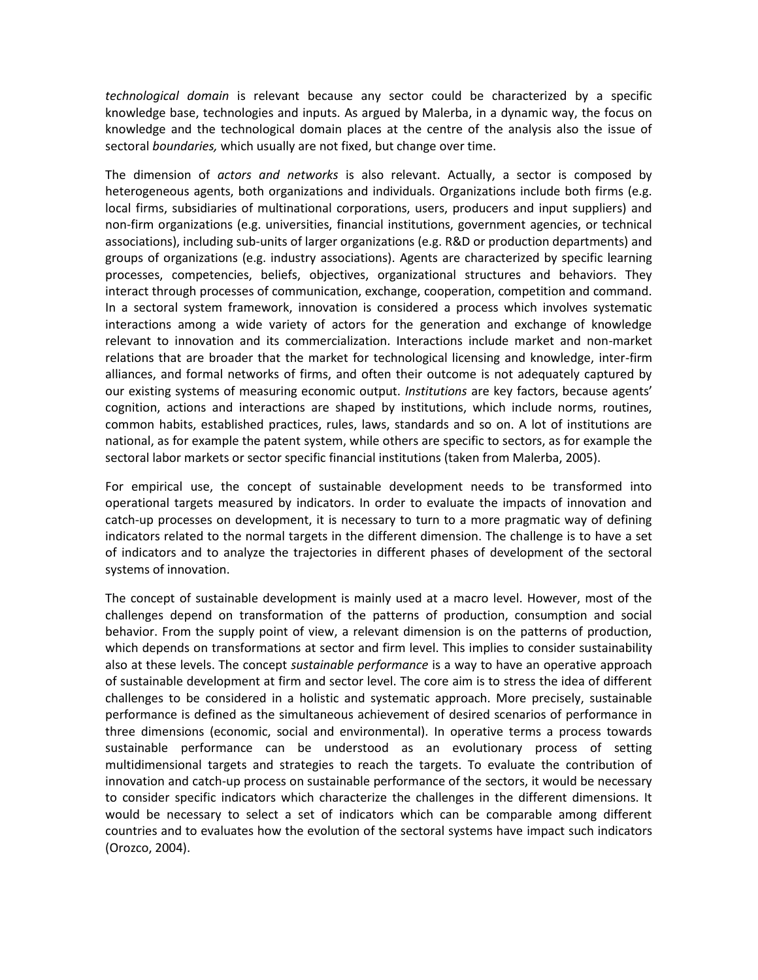*technological domain* is relevant because any sector could be characterized by a specific knowledge base, technologies and inputs. As argued by Malerba, in a dynamic way, the focus on knowledge and the technological domain places at the centre of the analysis also the issue of sectoral *boundaries,* which usually are not fixed, but change over time.

The dimension of *actors and networks* is also relevant. Actually, a sector is composed by heterogeneous agents, both organizations and individuals. Organizations include both firms (e.g. local firms, subsidiaries of multinational corporations, users, producers and input suppliers) and non-firm organizations (e.g. universities, financial institutions, government agencies, or technical associations), including sub-units of larger organizations (e.g. R&D or production departments) and groups of organizations (e.g. industry associations). Agents are characterized by specific learning processes, competencies, beliefs, objectives, organizational structures and behaviors. They interact through processes of communication, exchange, cooperation, competition and command. In a sectoral system framework, innovation is considered a process which involves systematic interactions among a wide variety of actors for the generation and exchange of knowledge relevant to innovation and its commercialization. Interactions include market and non-market relations that are broader that the market for technological licensing and knowledge, inter-firm alliances, and formal networks of firms, and often their outcome is not adequately captured by our existing systems of measuring economic output. *Institutions* are key factors, because agents' cognition, actions and interactions are shaped by institutions, which include norms, routines, common habits, established practices, rules, laws, standards and so on. A lot of institutions are national, as for example the patent system, while others are specific to sectors, as for example the sectoral labor markets or sector specific financial institutions (taken from Malerba, 2005).

For empirical use, the concept of sustainable development needs to be transformed into operational targets measured by indicators. In order to evaluate the impacts of innovation and catch-up processes on development, it is necessary to turn to a more pragmatic way of defining indicators related to the normal targets in the different dimension. The challenge is to have a set of indicators and to analyze the trajectories in different phases of development of the sectoral systems of innovation.

The concept of sustainable development is mainly used at a macro level. However, most of the challenges depend on transformation of the patterns of production, consumption and social behavior. From the supply point of view, a relevant dimension is on the patterns of production, which depends on transformations at sector and firm level. This implies to consider sustainability also at these levels. The concept *sustainable performance* is a way to have an operative approach of sustainable development at firm and sector level. The core aim is to stress the idea of different challenges to be considered in a holistic and systematic approach. More precisely, sustainable performance is defined as the simultaneous achievement of desired scenarios of performance in three dimensions (economic, social and environmental). In operative terms a process towards sustainable performance can be understood as an evolutionary process of setting multidimensional targets and strategies to reach the targets. To evaluate the contribution of innovation and catch-up process on sustainable performance of the sectors, it would be necessary to consider specific indicators which characterize the challenges in the different dimensions. It would be necessary to select a set of indicators which can be comparable among different countries and to evaluates how the evolution of the sectoral systems have impact such indicators (Orozco, 2004).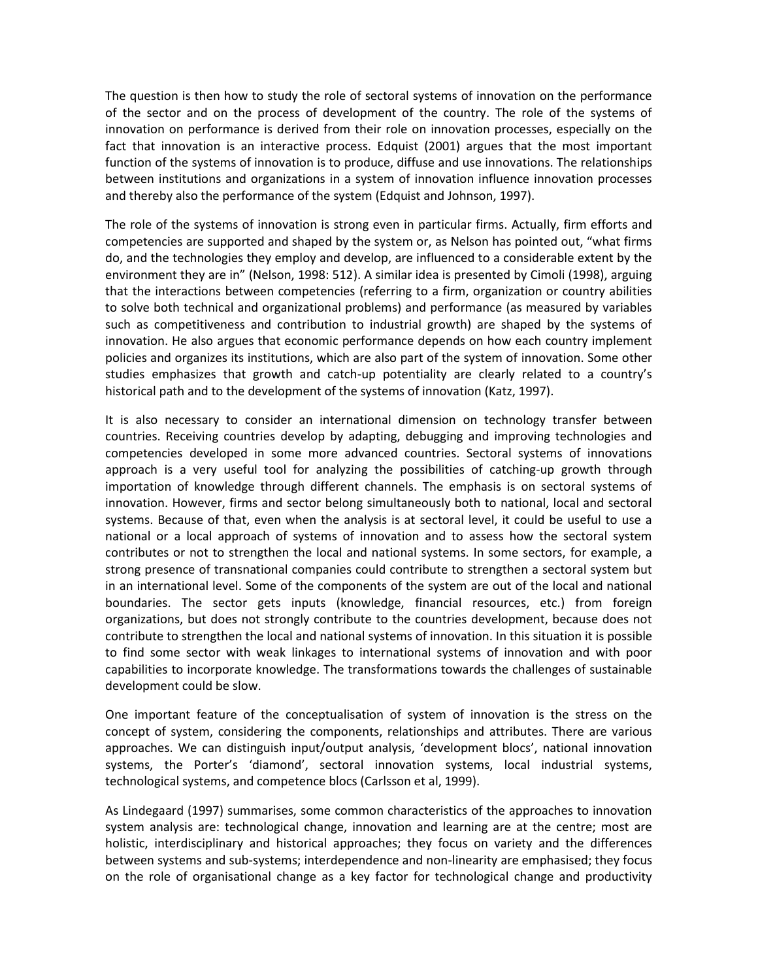The question is then how to study the role of sectoral systems of innovation on the performance of the sector and on the process of development of the country. The role of the systems of innovation on performance is derived from their role on innovation processes, especially on the fact that innovation is an interactive process. Edquist (2001) argues that the most important function of the systems of innovation is to produce, diffuse and use innovations. The relationships between institutions and organizations in a system of innovation influence innovation processes and thereby also the performance of the system (Edquist and Johnson, 1997).

The role of the systems of innovation is strong even in particular firms. Actually, firm efforts and competencies are supported and shaped by the system or, as Nelson has pointed out, "what firms do, and the technologies they employ and develop, are influenced to a considerable extent by the environment they are in" (Nelson, 1998: 512). A similar idea is presented by Cimoli (1998), arguing that the interactions between competencies (referring to a firm, organization or country abilities to solve both technical and organizational problems) and performance (as measured by variables such as competitiveness and contribution to industrial growth) are shaped by the systems of innovation. He also argues that economic performance depends on how each country implement policies and organizes its institutions, which are also part of the system of innovation. Some other studies emphasizes that growth and catch-up potentiality are clearly related to a country's historical path and to the development of the systems of innovation (Katz, 1997).

It is also necessary to consider an international dimension on technology transfer between countries. Receiving countries develop by adapting, debugging and improving technologies and competencies developed in some more advanced countries. Sectoral systems of innovations approach is a very useful tool for analyzing the possibilities of catching-up growth through importation of knowledge through different channels. The emphasis is on sectoral systems of innovation. However, firms and sector belong simultaneously both to national, local and sectoral systems. Because of that, even when the analysis is at sectoral level, it could be useful to use a national or a local approach of systems of innovation and to assess how the sectoral system contributes or not to strengthen the local and national systems. In some sectors, for example, a strong presence of transnational companies could contribute to strengthen a sectoral system but in an international level. Some of the components of the system are out of the local and national boundaries. The sector gets inputs (knowledge, financial resources, etc.) from foreign organizations, but does not strongly contribute to the countries development, because does not contribute to strengthen the local and national systems of innovation. In this situation it is possible to find some sector with weak linkages to international systems of innovation and with poor capabilities to incorporate knowledge. The transformations towards the challenges of sustainable development could be slow.

One important feature of the conceptualisation of system of innovation is the stress on the concept of system, considering the components, relationships and attributes. There are various approaches. We can distinguish input/output analysis, 'development blocs', national innovation systems, the Porter's 'diamond', sectoral innovation systems, local industrial systems, technological systems, and competence blocs (Carlsson et al, 1999).

As Lindegaard (1997) summarises, some common characteristics of the approaches to innovation system analysis are: technological change, innovation and learning are at the centre; most are holistic, interdisciplinary and historical approaches; they focus on variety and the differences between systems and sub-systems; interdependence and non-linearity are emphasised; they focus on the role of organisational change as a key factor for technological change and productivity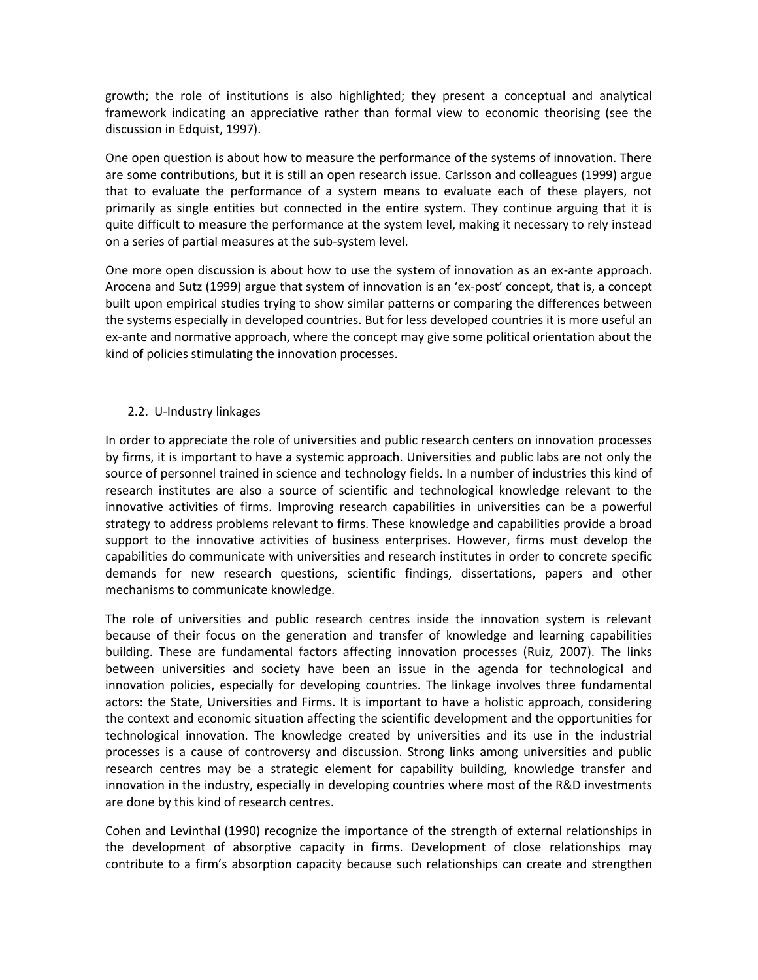growth; the role of institutions is also highlighted; they present a conceptual and analytical framework indicating an appreciative rather than formal view to economic theorising (see the discussion in Edquist, 1997).

One open question is about how to measure the performance of the systems of innovation. There are some contributions, but it is still an open research issue. Carlsson and colleagues (1999) argue that to evaluate the performance of a system means to evaluate each of these players, not primarily as single entities but connected in the entire system. They continue arguing that it is quite difficult to measure the performance at the system level, making it necessary to rely instead on a series of partial measures at the sub-system level.

One more open discussion is about how to use the system of innovation as an ex-ante approach. Arocena and Sutz (1999) argue that system of innovation is an 'ex-post' concept, that is, a concept built upon empirical studies trying to show similar patterns or comparing the differences between the systems especially in developed countries. But for less developed countries it is more useful an ex-ante and normative approach, where the concept may give some political orientation about the kind of policies stimulating the innovation processes.

# 2.2. U-Industry linkages

In order to appreciate the role of universities and public research centers on innovation processes by firms, it is important to have a systemic approach. Universities and public labs are not only the source of personnel trained in science and technology fields. In a number of industries this kind of research institutes are also a source of scientific and technological knowledge relevant to the innovative activities of firms. Improving research capabilities in universities can be a powerful strategy to address problems relevant to firms. These knowledge and capabilities provide a broad support to the innovative activities of business enterprises. However, firms must develop the capabilities do communicate with universities and research institutes in order to concrete specific demands for new research questions, scientific findings, dissertations, papers and other mechanisms to communicate knowledge.

The role of universities and public research centres inside the innovation system is relevant because of their focus on the generation and transfer of knowledge and learning capabilities building. These are fundamental factors affecting innovation processes (Ruiz, 2007). The links between universities and society have been an issue in the agenda for technological and innovation policies, especially for developing countries. The linkage involves three fundamental actors: the State, Universities and Firms. It is important to have a holistic approach, considering the context and economic situation affecting the scientific development and the opportunities for technological innovation. The knowledge created by universities and its use in the industrial processes is a cause of controversy and discussion. Strong links among universities and public research centres may be a strategic element for capability building, knowledge transfer and innovation in the industry, especially in developing countries where most of the R&D investments are done by this kind of research centres.

Cohen and Levinthal (1990) recognize the importance of the strength of external relationships in the development of absorptive capacity in firms. Development of close relationships may contribute to a firm's absorption capacity because such relationships can create and strengthen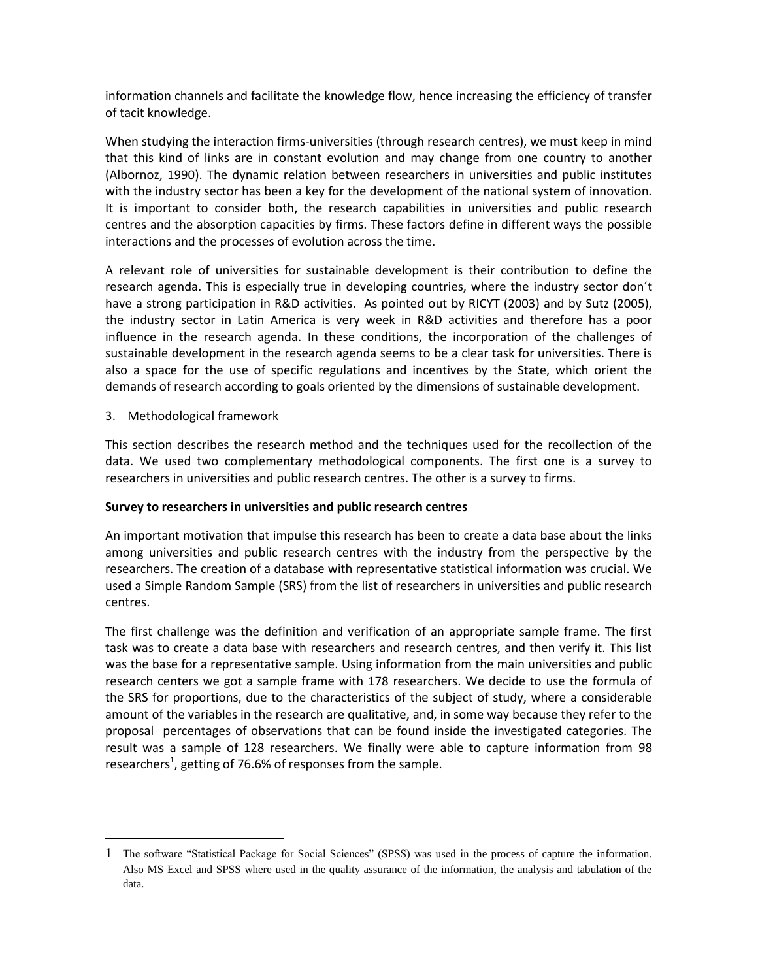information channels and facilitate the knowledge flow, hence increasing the efficiency of transfer of tacit knowledge.

When studying the interaction firms-universities (through research centres), we must keep in mind that this kind of links are in constant evolution and may change from one country to another (Albornoz, 1990). The dynamic relation between researchers in universities and public institutes with the industry sector has been a key for the development of the national system of innovation. It is important to consider both, the research capabilities in universities and public research centres and the absorption capacities by firms. These factors define in different ways the possible interactions and the processes of evolution across the time.

A relevant role of universities for sustainable development is their contribution to define the research agenda. This is especially true in developing countries, where the industry sector don´t have a strong participation in R&D activities. As pointed out by RICYT (2003) and by Sutz (2005), the industry sector in Latin America is very week in R&D activities and therefore has a poor influence in the research agenda. In these conditions, the incorporation of the challenges of sustainable development in the research agenda seems to be a clear task for universities. There is also a space for the use of specific regulations and incentives by the State, which orient the demands of research according to goals oriented by the dimensions of sustainable development.

3. Methodological framework

 $\ddot{\phantom{a}}$ 

This section describes the research method and the techniques used for the recollection of the data. We used two complementary methodological components. The first one is a survey to researchers in universities and public research centres. The other is a survey to firms.

# **Survey to researchers in universities and public research centres**

An important motivation that impulse this research has been to create a data base about the links among universities and public research centres with the industry from the perspective by the researchers. The creation of a database with representative statistical information was crucial. We used a Simple Random Sample (SRS) from the list of researchers in universities and public research centres.

The first challenge was the definition and verification of an appropriate sample frame. The first task was to create a data base with researchers and research centres, and then verify it. This list was the base for a representative sample. Using information from the main universities and public research centers we got a sample frame with 178 researchers. We decide to use the formula of the SRS for proportions, due to the characteristics of the subject of study, where a considerable amount of the variables in the research are qualitative, and, in some way because they refer to the proposal percentages of observations that can be found inside the investigated categories. The result was a sample of 128 researchers. We finally were able to capture information from 98 researchers<sup>1</sup>, getting of 76.6% of responses from the sample.

<sup>1</sup> The software "Statistical Package for Social Sciences" (SPSS) was used in the process of capture the information. Also MS Excel and SPSS where used in the quality assurance of the information, the analysis and tabulation of the data.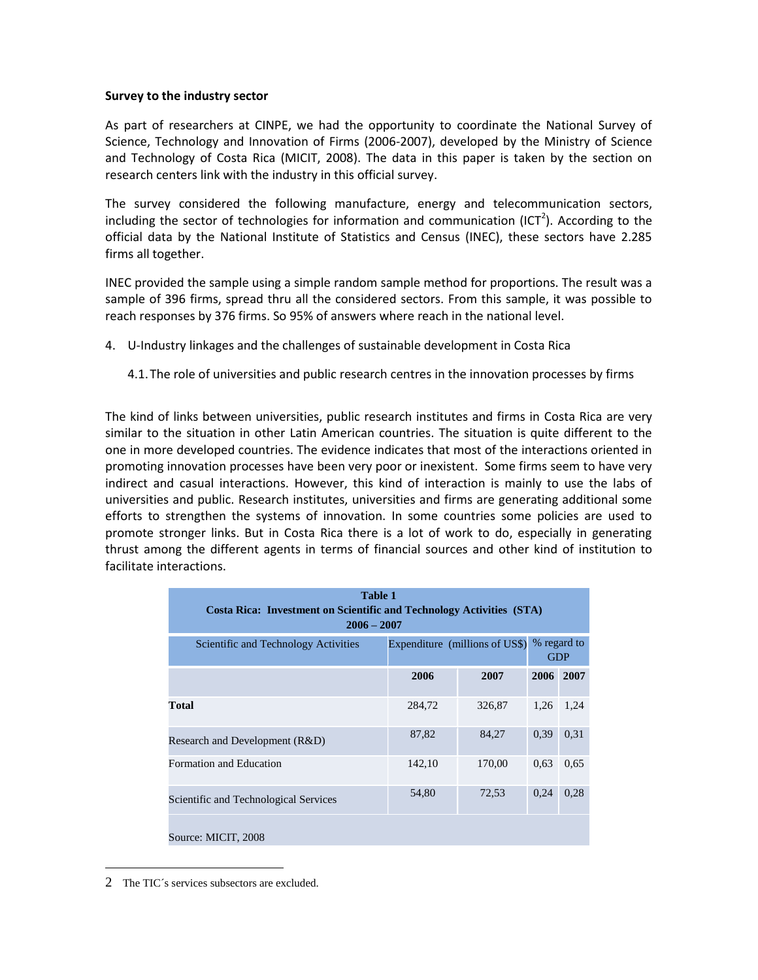#### **Survey to the industry sector**

As part of researchers at CINPE, we had the opportunity to coordinate the National Survey of Science, Technology and Innovation of Firms (2006-2007), developed by the Ministry of Science and Technology of Costa Rica (MICIT, 2008). The data in this paper is taken by the section on research centers link with the industry in this official survey.

The survey considered the following manufacture, energy and telecommunication sectors, including the sector of technologies for information and communication (ICT<sup>2</sup>). According to the official data by the National Institute of Statistics and Census (INEC), these sectors have 2.285 firms all together.

INEC provided the sample using a simple random sample method for proportions. The result was a sample of 396 firms, spread thru all the considered sectors. From this sample, it was possible to reach responses by 376 firms. So 95% of answers where reach in the national level.

- 4. U-Industry linkages and the challenges of sustainable development in Costa Rica
	- 4.1.The role of universities and public research centres in the innovation processes by firms

The kind of links between universities, public research institutes and firms in Costa Rica are very similar to the situation in other Latin American countries. The situation is quite different to the one in more developed countries. The evidence indicates that most of the interactions oriented in promoting innovation processes have been very poor or inexistent. Some firms seem to have very indirect and casual interactions. However, this kind of interaction is mainly to use the labs of universities and public. Research institutes, universities and firms are generating additional some efforts to strengthen the systems of innovation. In some countries some policies are used to promote stronger links. But in Costa Rica there is a lot of work to do, especially in generating thrust among the different agents in terms of financial sources and other kind of institution to facilitate interactions.

| <b>Table 1</b><br><b>Costa Rica: Investment on Scientific and Technology Activities (STA)</b><br>$2006 - 2007$ |                                |                           |           |      |
|----------------------------------------------------------------------------------------------------------------|--------------------------------|---------------------------|-----------|------|
| Scientific and Technology Activities                                                                           | Expenditure (millions of US\$) | % regard to<br><b>GDP</b> |           |      |
|                                                                                                                | 2006                           | 2007                      | 2006 2007 |      |
| Total                                                                                                          | 284,72                         | 326,87                    | 1,26      | 1,24 |
| Research and Development (R&D)                                                                                 | 87,82                          | 84,27                     | 0,39      | 0,31 |
| Formation and Education                                                                                        | 142,10                         | 170,00                    | 0.63      | 0.65 |
| <b>Scientific and Technological Services</b>                                                                   | 54,80                          | 72,53                     | 0.24      | 0,28 |
| Source: MICIT, 2008                                                                                            |                                |                           |           |      |

<sup>2</sup> The TIC´s services subsectors are excluded.

 $\overline{a}$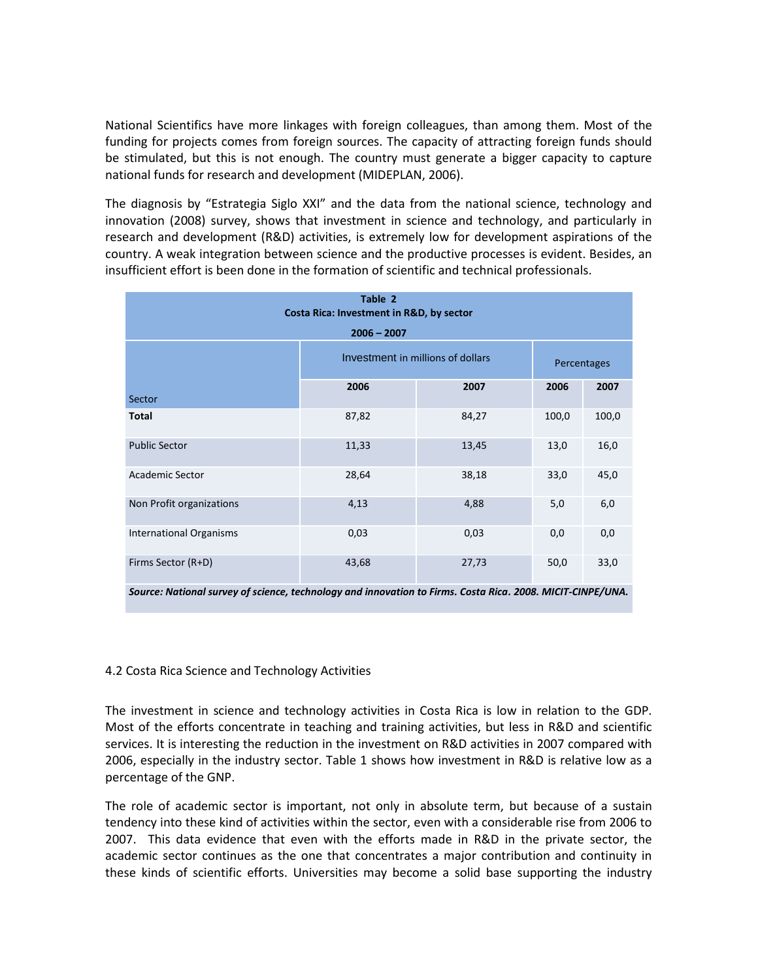National Scientifics have more linkages with foreign colleagues, than among them. Most of the funding for projects comes from foreign sources. The capacity of attracting foreign funds should be stimulated, but this is not enough. The country must generate a bigger capacity to capture national funds for research and development (MIDEPLAN, 2006).

The diagnosis by "Estrategia Siglo XXI" and the data from the national science, technology and innovation (2008) survey, shows that investment in science and technology, and particularly in research and development (R&D) activities, is extremely low for development aspirations of the country. A weak integration between science and the productive processes is evident. Besides, an insufficient effort is been done in the formation of scientific and technical professionals.

| Table 2<br>Costa Rica: Investment in R&D, by sector<br>$2006 - 2007$ |                                   |       |             |       |
|----------------------------------------------------------------------|-----------------------------------|-------|-------------|-------|
|                                                                      | Investment in millions of dollars |       | Percentages |       |
| Sector                                                               | 2006                              | 2007  | 2006        | 2007  |
| <b>Total</b>                                                         | 87,82                             | 84,27 | 100,0       | 100,0 |
| <b>Public Sector</b>                                                 | 11,33                             | 13,45 | 13,0        | 16,0  |
| <b>Academic Sector</b>                                               | 28,64                             | 38,18 | 33,0        | 45,0  |
| Non Profit organizations                                             | 4,13                              | 4,88  | 5,0         | 6,0   |
| <b>International Organisms</b>                                       | 0,03                              | 0,03  | 0,0         | 0,0   |
| Firms Sector (R+D)                                                   | 43,68                             | 27,73 | 50,0        | 33,0  |

*Source: National survey of science, technology and innovation to Firms. Costa Rica. 2008. MICIT-CINPE/UNA.*

# 4.2 Costa Rica Science and Technology Activities

The investment in science and technology activities in Costa Rica is low in relation to the GDP. Most of the efforts concentrate in teaching and training activities, but less in R&D and scientific services. It is interesting the reduction in the investment on R&D activities in 2007 compared with 2006, especially in the industry sector. Table 1 shows how investment in R&D is relative low as a percentage of the GNP.

The role of academic sector is important, not only in absolute term, but because of a sustain tendency into these kind of activities within the sector, even with a considerable rise from 2006 to 2007. This data evidence that even with the efforts made in R&D in the private sector, the academic sector continues as the one that concentrates a major contribution and continuity in these kinds of scientific efforts. Universities may become a solid base supporting the industry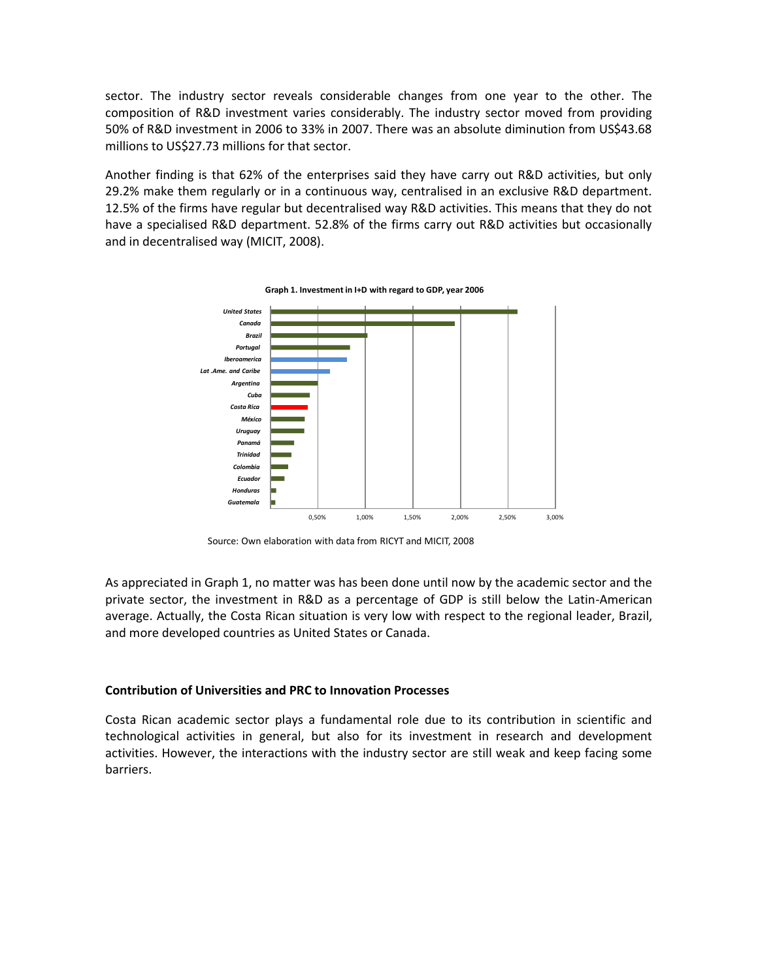sector. The industry sector reveals considerable changes from one year to the other. The composition of R&D investment varies considerably. The industry sector moved from providing 50% of R&D investment in 2006 to 33% in 2007. There was an absolute diminution from US\$43.68 millions to US\$27.73 millions for that sector.

Another finding is that 62% of the enterprises said they have carry out R&D activities, but only 29.2% make them regularly or in a continuous way, centralised in an exclusive R&D department. 12.5% of the firms have regular but decentralised way R&D activities. This means that they do not have a specialised R&D department. 52.8% of the firms carry out R&D activities but occasionally and in decentralised way (MICIT, 2008).



**Graph 1. Investment in I+D with regard to GDP, year 2006**

Source: Own elaboration with data from RICYT and MICIT, 2008

As appreciated in Graph 1, no matter was has been done until now by the academic sector and the private sector, the investment in R&D as a percentage of GDP is still below the Latin-American average. Actually, the Costa Rican situation is very low with respect to the regional leader, Brazil, and more developed countries as United States or Canada.

#### **Contribution of Universities and PRC to Innovation Processes**

Costa Rican academic sector plays a fundamental role due to its contribution in scientific and technological activities in general, but also for its investment in research and development activities. However, the interactions with the industry sector are still weak and keep facing some barriers.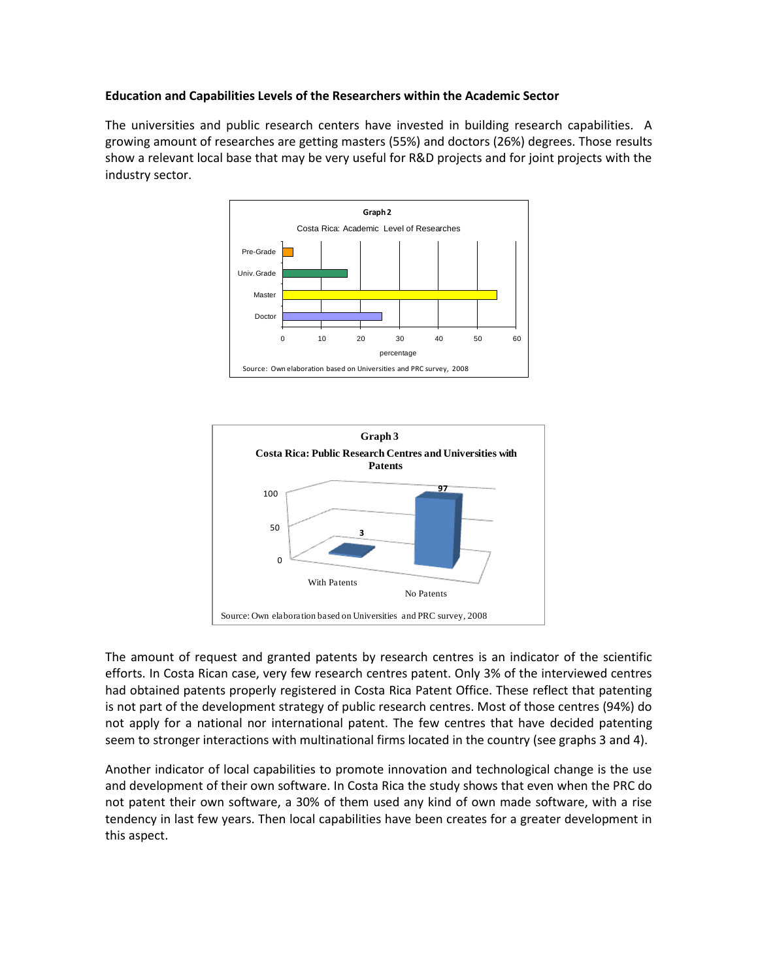# **Education and Capabilities Levels of the Researchers within the Academic Sector**

The universities and public research centers have invested in building research capabilities. A growing amount of researches are getting masters (55%) and doctors (26%) degrees. Those results show a relevant local base that may be very useful for R&D projects and for joint projects with the industry sector.





The amount of request and granted patents by research centres is an indicator of the scientific efforts. In Costa Rican case, very few research centres patent. Only 3% of the interviewed centres had obtained patents properly registered in Costa Rica Patent Office. These reflect that patenting is not part of the development strategy of public research centres. Most of those centres (94%) do not apply for a national nor international patent. The few centres that have decided patenting seem to stronger interactions with multinational firms located in the country (see graphs 3 and 4).

Another indicator of local capabilities to promote innovation and technological change is the use and development of their own software. In Costa Rica the study shows that even when the PRC do not patent their own software, a 30% of them used any kind of own made software, with a rise tendency in last few years. Then local capabilities have been creates for a greater development in this aspect.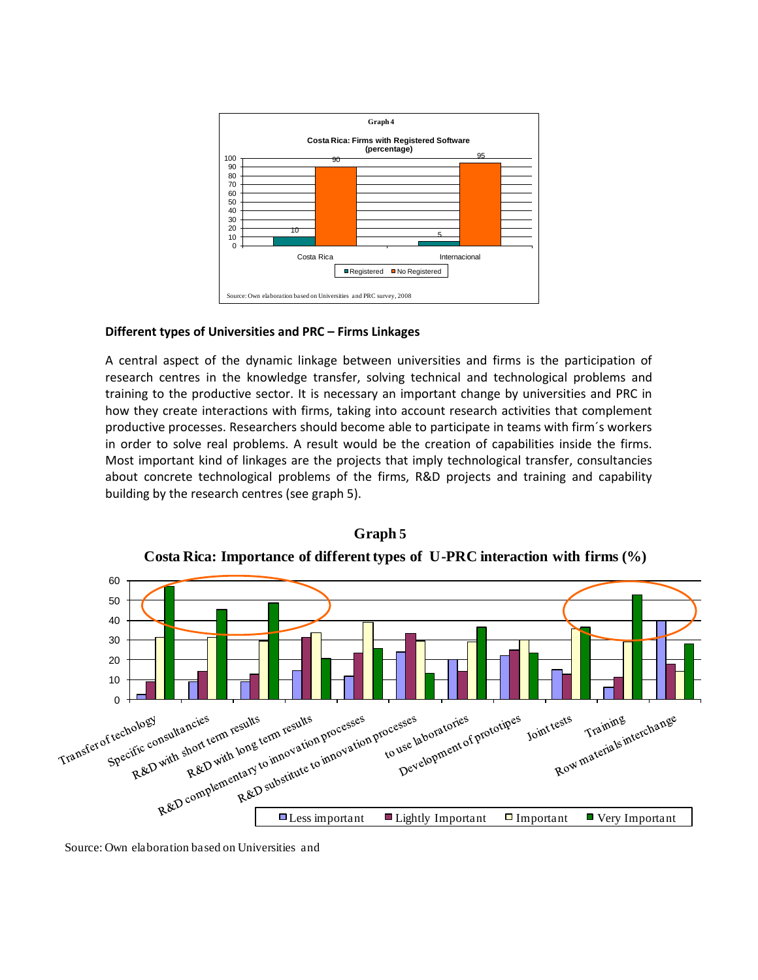

# **Different types of Universities and PRC – Firms Linkages**

A central aspect of the dynamic linkage between universities and firms is the participation of research centres in the knowledge transfer, solving technical and technological problems and training to the productive sector. It is necessary an important change by universities and PRC in how they create interactions with firms, taking into account research activities that complement productive processes. Researchers should become able to participate in teams with firm´s workers in order to solve real problems. A result would be the creation of capabilities inside the firms. Most important kind of linkages are the projects that imply technological transfer, consultancies about concrete technological problems of the firms, R&D projects and training and capability building by the research centres (see graph 5).



**Costa Rica: Importance of different types of U-PRC interaction with firms (%)**

**Graph 5**

Source: Own elaboration based on Universities and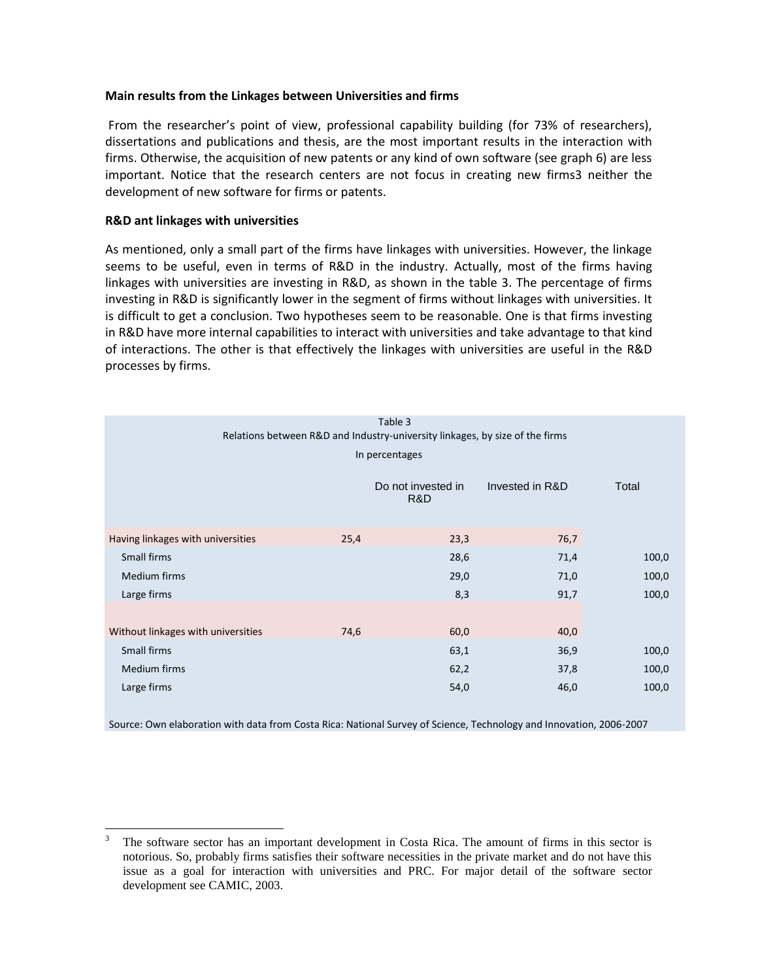#### **Main results from the Linkages between Universities and firms**

From the researcher's point of view, professional capability building (for 73% of researchers), dissertations and publications and thesis, are the most important results in the interaction with firms. Otherwise, the acquisition of new patents or any kind of own software (see graph 6) are less important. Notice that the research centers are not focus in creating new firms3 neither the development of new software for firms or patents.

# **R&D ant linkages with universities**

As mentioned, only a small part of the firms have linkages with universities. However, the linkage seems to be useful, even in terms of R&D in the industry. Actually, most of the firms having linkages with universities are investing in R&D, as shown in the table 3. The percentage of firms investing in R&D is significantly lower in the segment of firms without linkages with universities. It is difficult to get a conclusion. Two hypotheses seem to be reasonable. One is that firms investing in R&D have more internal capabilities to interact with universities and take advantage to that kind of interactions. The other is that effectively the linkages with universities are useful in the R&D processes by firms.

| Table 3<br>Relations between R&D and Industry-university linkages, by size of the firms |                |                           |                 |       |
|-----------------------------------------------------------------------------------------|----------------|---------------------------|-----------------|-------|
|                                                                                         | In percentages |                           |                 |       |
|                                                                                         |                |                           |                 |       |
|                                                                                         |                | Do not invested in<br>R&D | Invested in R&D | Total |
|                                                                                         |                |                           |                 |       |
| Having linkages with universities                                                       | 25,4           | 23,3                      | 76,7            |       |
| Small firms                                                                             |                | 28,6                      | 71,4            | 100,0 |
| Medium firms                                                                            |                | 29,0                      | 71,0            | 100,0 |
| Large firms                                                                             |                | 8,3                       | 91,7            | 100,0 |
|                                                                                         |                |                           |                 |       |
| Without linkages with universities                                                      | 74,6           | 60,0                      | 40,0            |       |
| Small firms                                                                             |                | 63,1                      | 36,9            | 100,0 |
| Medium firms                                                                            |                | 62,2                      | 37,8            | 100,0 |
| Large firms                                                                             |                | 54,0                      | 46,0            | 100,0 |
|                                                                                         |                |                           |                 |       |

Source: Own elaboration with data from Costa Rica: National Survey of Science, Technology and Innovation, 2006-2007

 $\overline{\mathbf{3}}$ <sup>3</sup> The software sector has an important development in Costa Rica. The amount of firms in this sector is notorious. So, probably firms satisfies their software necessities in the private market and do not have this issue as a goal for interaction with universities and PRC. For major detail of the software sector development see CAMIC, 2003.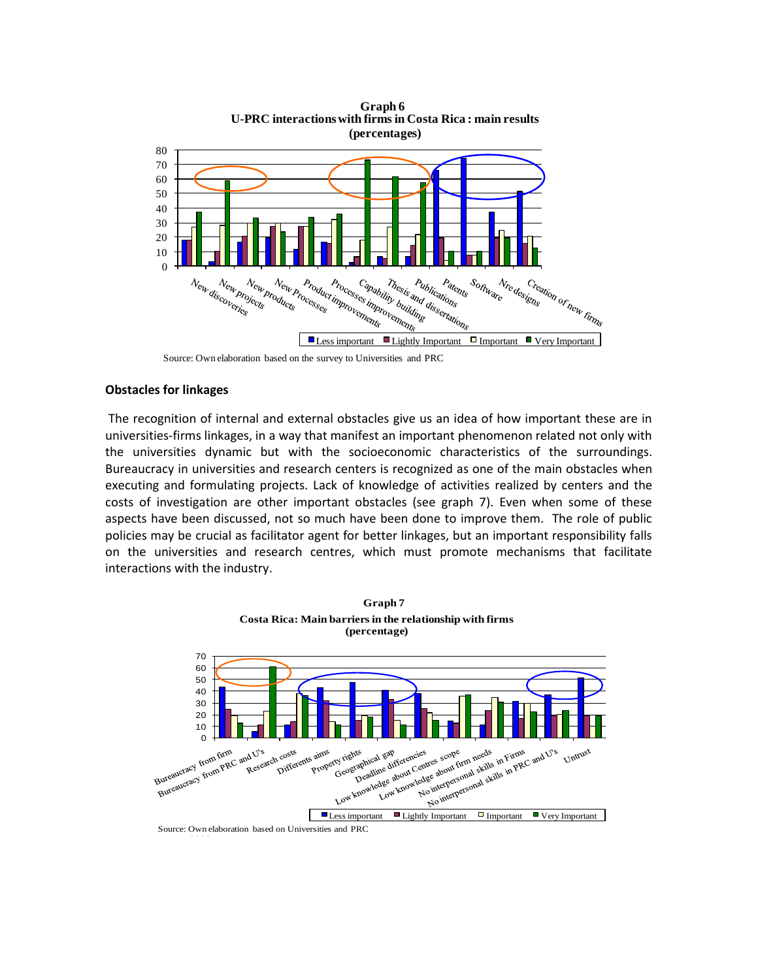



#### **Obstacles for linkages**

The recognition of internal and external obstacles give us an idea of how important these are in universities-firms linkages, in a way that manifest an important phenomenon related not only with the universities dynamic but with the socioeconomic characteristics of the surroundings. Bureaucracy in universities and research centers is recognized as one of the main obstacles when executing and formulating projects. Lack of knowledge of activities realized by centers and the costs of investigation are other important obstacles (see graph 7). Even when some of these aspects have been discussed, not so much have been done to improve them. The role of public policies may be crucial as facilitator agent for better linkages, but an important responsibility falls on the universities and research centres, which must promote mechanisms that facilitate interactions with the industry.



Source: Own elaboration based on Universities and PRC

Source: Own elaboration based on the survey to Universities and PRC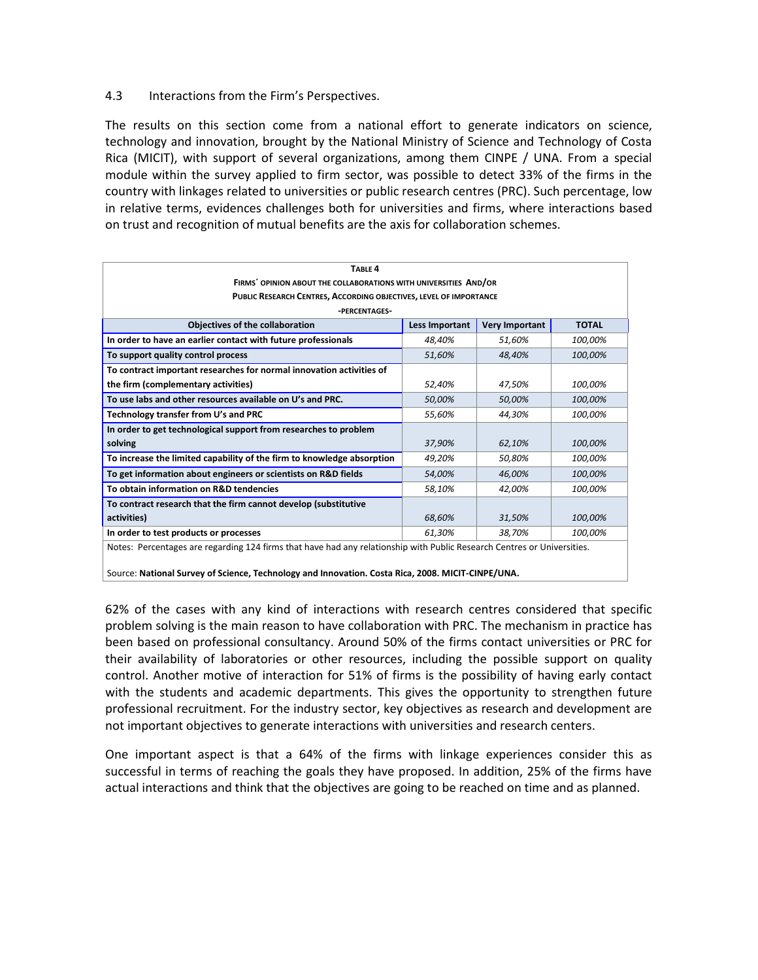# 4.3 Interactions from the Firm's Perspectives.

The results on this section come from a national effort to generate indicators on science, technology and innovation, brought by the National Ministry of Science and Technology of Costa Rica (MICIT), with support of several organizations, among them CINPE / UNA. From a special module within the survey applied to firm sector, was possible to detect 33% of the firms in the country with linkages related to universities or public research centres (PRC). Such percentage, low in relative terms, evidences challenges both for universities and firms, where interactions based on trust and recognition of mutual benefits are the axis for collaboration schemes.

| TABLE <sub>4</sub>                                                                                                      |                |                       |              |  |
|-------------------------------------------------------------------------------------------------------------------------|----------------|-----------------------|--------------|--|
| FIRMS' OPINION ABOUT THE COLLABORATIONS WITH UNIVERSITIES AND/OR                                                        |                |                       |              |  |
| PUBLIC RESEARCH CENTRES, ACCORDING OBJECTIVES, LEVEL OF IMPORTANCE                                                      |                |                       |              |  |
| -PERCENTAGES-                                                                                                           |                |                       |              |  |
| Objectives of the collaboration                                                                                         | Less Important | <b>Very Important</b> | <b>TOTAL</b> |  |
| In order to have an earlier contact with future professionals                                                           | 48,40%         | 51.60%                | 100,00%      |  |
| To support quality control process                                                                                      | 51,60%         | 48,40%                | 100,00%      |  |
| To contract important researches for normal innovation activities of                                                    |                |                       |              |  |
| the firm (complementary activities)                                                                                     | 52,40%         | 47,50%                | 100,00%      |  |
| To use labs and other resources available on U's and PRC.                                                               | 50,00%         | 50,00%                | 100,00%      |  |
| Technology transfer from U's and PRC                                                                                    | 55,60%         | 44,30%                | 100,00%      |  |
| In order to get technological support from researches to problem                                                        |                |                       |              |  |
| solving                                                                                                                 | 37,90%         | 62,10%                | 100,00%      |  |
| To increase the limited capability of the firm to knowledge absorption                                                  | 49,20%         | 50.80%                | 100,00%      |  |
| To get information about engineers or scientists on R&D fields                                                          | 54,00%         | 46.00%                | 100,00%      |  |
| To obtain information on R&D tendencies                                                                                 | 58,10%         | 42,00%                | 100,00%      |  |
| To contract research that the firm cannot develop (substitutive                                                         |                |                       |              |  |
| activities)                                                                                                             | 68,60%         | 31,50%                | 100,00%      |  |
| In order to test products or processes                                                                                  | 61,30%         | 38,70%                | 100,00%      |  |
| Notes: Percentages are regarding 124 firms that have had any relationship with Public Research Centres or Universities. |                |                       |              |  |
|                                                                                                                         |                |                       |              |  |
| Source: National Survey of Science, Technology and Innovation. Costa Rica, 2008. MICIT-CINPE/UNA.                       |                |                       |              |  |

62% of the cases with any kind of interactions with research centres considered that specific problem solving is the main reason to have collaboration with PRC. The mechanism in practice has been based on professional consultancy. Around 50% of the firms contact universities or PRC for their availability of laboratories or other resources, including the possible support on quality control. Another motive of interaction for 51% of firms is the possibility of having early contact with the students and academic departments. This gives the opportunity to strengthen future professional recruitment. For the industry sector, key objectives as research and development are not important objectives to generate interactions with universities and research centers.

One important aspect is that a 64% of the firms with linkage experiences consider this as successful in terms of reaching the goals they have proposed. In addition, 25% of the firms have actual interactions and think that the objectives are going to be reached on time and as planned.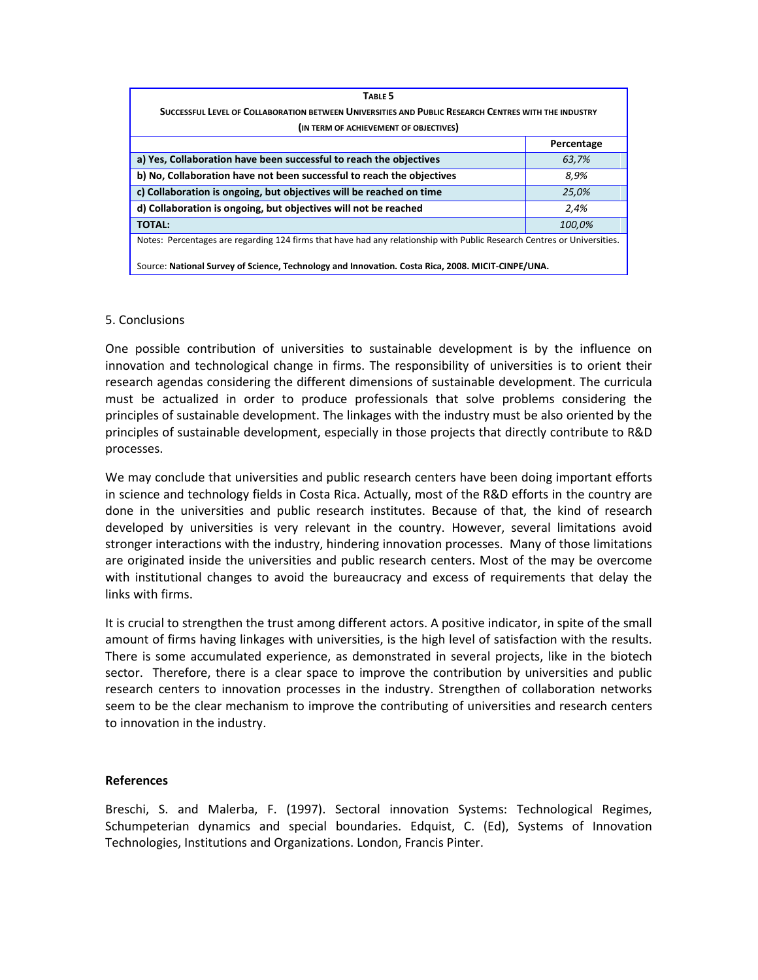| TABLE 5                                                                                                                 |            |  |  |
|-------------------------------------------------------------------------------------------------------------------------|------------|--|--|
| SUCCESSFUL LEVEL OF COLLABORATION BETWEEN UNIVERSITIES AND PUBLIC RESEARCH CENTRES WITH THE INDUSTRY                    |            |  |  |
| (IN TERM OF ACHIEVEMENT OF OBJECTIVES)                                                                                  |            |  |  |
|                                                                                                                         | Percentage |  |  |
| a) Yes, Collaboration have been successful to reach the objectives                                                      | 63,7%      |  |  |
| b) No, Collaboration have not been successful to reach the objectives                                                   | 8.9%       |  |  |
| c) Collaboration is ongoing, but objectives will be reached on time                                                     | 25,0%      |  |  |
| d) Collaboration is ongoing, but objectives will not be reached                                                         | 2,4%       |  |  |
| <b>TOTAL:</b>                                                                                                           | 100,0%     |  |  |
| Notes: Percentages are regarding 124 firms that have had any relationship with Public Research Centres or Universities. |            |  |  |
| Source: National Survey of Science, Technology and Innovation. Costa Rica, 2008. MICIT-CINPE/UNA.                       |            |  |  |

# 5. Conclusions

One possible contribution of universities to sustainable development is by the influence on innovation and technological change in firms. The responsibility of universities is to orient their research agendas considering the different dimensions of sustainable development. The curricula must be actualized in order to produce professionals that solve problems considering the principles of sustainable development. The linkages with the industry must be also oriented by the principles of sustainable development, especially in those projects that directly contribute to R&D processes.

We may conclude that universities and public research centers have been doing important efforts in science and technology fields in Costa Rica. Actually, most of the R&D efforts in the country are done in the universities and public research institutes. Because of that, the kind of research developed by universities is very relevant in the country. However, several limitations avoid stronger interactions with the industry, hindering innovation processes. Many of those limitations are originated inside the universities and public research centers. Most of the may be overcome with institutional changes to avoid the bureaucracy and excess of requirements that delay the links with firms.

It is crucial to strengthen the trust among different actors. A positive indicator, in spite of the small amount of firms having linkages with universities, is the high level of satisfaction with the results. There is some accumulated experience, as demonstrated in several projects, like in the biotech sector. Therefore, there is a clear space to improve the contribution by universities and public research centers to innovation processes in the industry. Strengthen of collaboration networks seem to be the clear mechanism to improve the contributing of universities and research centers to innovation in the industry.

#### **References**

Breschi, S. and Malerba, F. (1997). Sectoral innovation Systems: Technological Regimes, Schumpeterian dynamics and special boundaries. Edquist, C. (Ed), Systems of Innovation Technologies, Institutions and Organizations. London, Francis Pinter.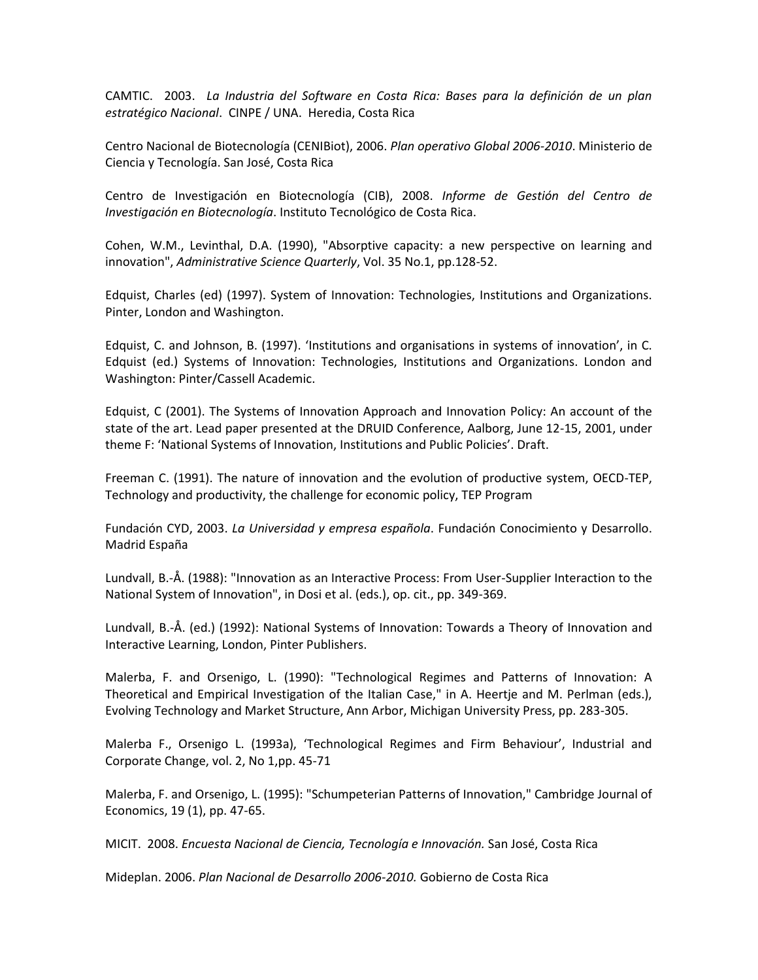CAMTIC. 2003. *La Industria del Software en Costa Rica: Bases para la definición de un plan estratégico Nacional*. CINPE / UNA. Heredia, Costa Rica

Centro Nacional de Biotecnología (CENIBiot), 2006. *Plan operativo Global 2006-2010*. Ministerio de Ciencia y Tecnología. San José, Costa Rica

Centro de Investigación en Biotecnología (CIB), 2008. *Informe de Gestión del Centro de Investigación en Biotecnología*. Instituto Tecnológico de Costa Rica.

Cohen, W.M., Levinthal, D.A. (1990), "Absorptive capacity: a new perspective on learning and innovation", *Administrative Science Quarterly*, Vol. 35 No.1, pp.128-52.

Edquist, Charles (ed) (1997). System of Innovation: Technologies, Institutions and Organizations. Pinter, London and Washington.

Edquist, C. and Johnson, B. (1997). 'Institutions and organisations in systems of innovation', in C. Edquist (ed.) Systems of Innovation: Technologies, Institutions and Organizations. London and Washington: Pinter/Cassell Academic.

Edquist, C (2001). The Systems of Innovation Approach and Innovation Policy: An account of the state of the art. Lead paper presented at the DRUID Conference, Aalborg, June 12-15, 2001, under theme F: 'National Systems of Innovation, Institutions and Public Policies'. Draft.

Freeman C. (1991). The nature of innovation and the evolution of productive system, OECD-TEP, Technology and productivity, the challenge for economic policy, TEP Program

Fundación CYD, 2003. *La Universidad y empresa española*. Fundación Conocimiento y Desarrollo. Madrid España

Lundvall, B.-Å. (1988): "Innovation as an Interactive Process: From User-Supplier Interaction to the National System of Innovation", in Dosi et al. (eds.), op. cit., pp. 349-369.

Lundvall, B.-Å. (ed.) (1992): National Systems of Innovation: Towards a Theory of Innovation and Interactive Learning, London, Pinter Publishers.

Malerba, F. and Orsenigo, L. (1990): "Technological Regimes and Patterns of Innovation: A Theoretical and Empirical Investigation of the Italian Case," in A. Heertje and M. Perlman (eds.), Evolving Technology and Market Structure, Ann Arbor, Michigan University Press, pp. 283-305.

Malerba F., Orsenigo L. (1993a), 'Technological Regimes and Firm Behaviour', Industrial and Corporate Change, vol. 2, No 1,pp. 45-71

Malerba, F. and Orsenigo, L. (1995): "Schumpeterian Patterns of Innovation," Cambridge Journal of Economics, 19 (1), pp. 47-65.

MICIT. 2008. *Encuesta Nacional de Ciencia, Tecnología e Innovación.* San José, Costa Rica

Mideplan. 2006. *Plan Nacional de Desarrollo 2006-2010.* Gobierno de Costa Rica